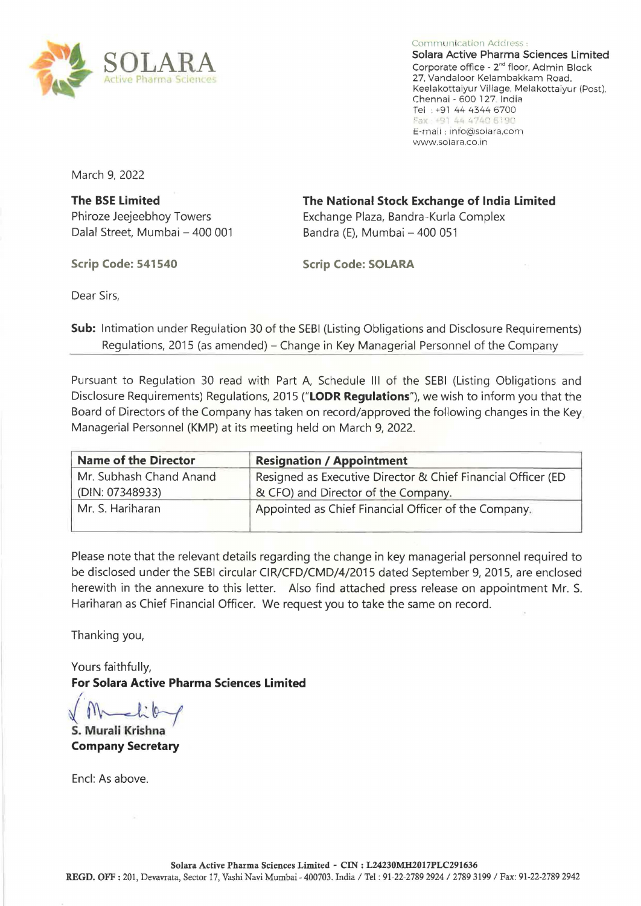

Communication Address : Solara Active Pharma Sciences Limited Corporate office- 2"d floor. Admin Block 27. Vandaloor Kelambakkam Road, Keelakottaiyur Village, Melakottaiyur (Post). Chennai - 600 127 India Tel : +91 44 4344 6700 Fax: +91 44 4740 6190 E-mail : info@solara.com www.so1ara.co.1n

March 9, 2022

**The BSE limited**  Phiroze Jeejeebhoy Towers Dalal Street, Mumbai- 400 001

**Scrip Code: 541540** 

**The National Stock Exchange of India limited**  Exchange Plaza, Bandra-Kurla Complex Bandra (E), Mumbai- 400 051

**Scrip Code: SOLARA** 

Dear Sirs,

**Sub:** Intimation under Regulation 30 of the SEBI (Listing Obligations and Disclosure Requirements) Regulations, 2015 (as amended) – Change in Key Managerial Personnel of the Company

Pursuant to Regulation 30 read with Part A, Schedule III of the SEBI (Listing Obligations and Disclosure Requirements) Regulations, 2015 **("LODR Regulations"),** we wish to inform you that the Board of Directors of the Company has taken on record/approved the following changes in the Key Managerial Personnel (KMP) at its meeting held on March *9,* 2022.

| <b>Name of the Director</b> | <b>Resignation / Appointment</b>                             |
|-----------------------------|--------------------------------------------------------------|
| Mr. Subhash Chand Anand     | Resigned as Executive Director & Chief Financial Officer (ED |
| (DIN: 07348933)             | & CFO) and Director of the Company.                          |
| Mr. S. Hariharan            | Appointed as Chief Financial Officer of the Company.         |

Please note that the relevant details regarding the change in key managerial personnel required to be disclosed under the SEBI circular CIR/CFD/CMD/4/2015 dated September 9, 2015, are enclosed herewith in the annexure to this letter. Also find attached press release on appointment Mr. S. Hariharan as Chief Financial Officer. We request you to take the same on record.

Thanking you,

Yours faithfully, **For Solara Active Pharma Sciences limited** 

l~&-t **S. Murali Krishna Company Secretary** 

Encl: As above.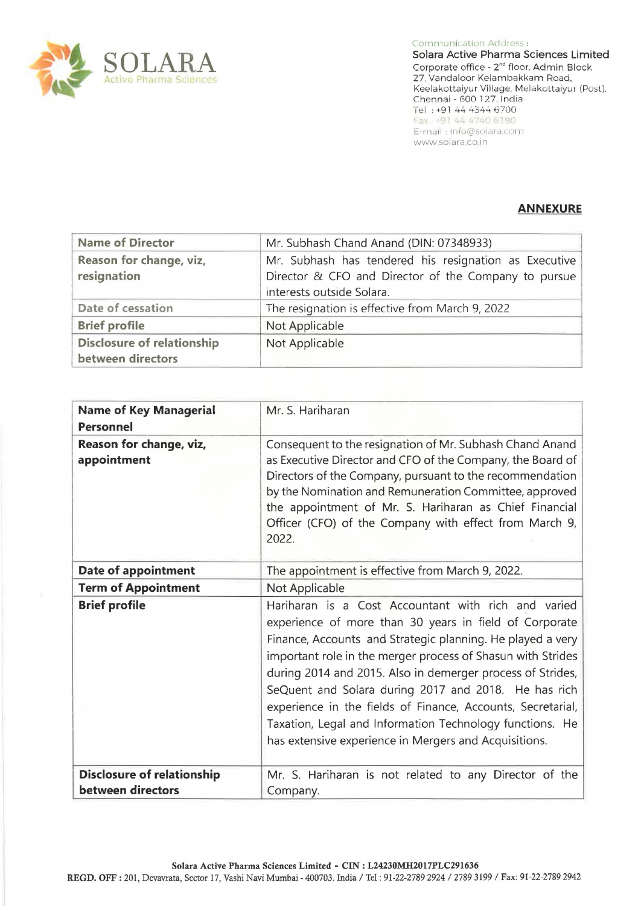

Communication Address : Solara Active Pharma Sciences Limited Corporate office - 2"d floor. Admin Block 27, Vandaloor Kelambakkam Road. Keelakottaiyur Village, Melakottaiyur (Post), Chennai - 600 127. India Tel : +91 44 4344 6700<br>Fax : +91 44 4740 6190 E-mail: inio@solara.com www.solara.co.in

### **ANNEXURE**

| <b>Name of Director</b>                                | Mr. Subhash Chand Anand (DIN: 07348933)                                                                                                    |
|--------------------------------------------------------|--------------------------------------------------------------------------------------------------------------------------------------------|
| Reason for change, viz,<br>resignation                 | Mr. Subhash has tendered his resignation as Executive<br>Director & CFO and Director of the Company to pursue<br>interests outside Solara. |
| Date of cessation                                      | The resignation is effective from March 9, 2022                                                                                            |
| <b>Brief profile</b>                                   | Not Applicable                                                                                                                             |
| <b>Disclosure of relationship</b><br>between directors | Not Applicable                                                                                                                             |

| <b>Name of Key Managerial</b><br><b>Personnel</b> | Mr. S. Hariharan                                                                                                                                                                                                                                                                                                                                                                                                                                                                                                                                     |
|---------------------------------------------------|------------------------------------------------------------------------------------------------------------------------------------------------------------------------------------------------------------------------------------------------------------------------------------------------------------------------------------------------------------------------------------------------------------------------------------------------------------------------------------------------------------------------------------------------------|
| Reason for change, viz,<br>appointment            | Consequent to the resignation of Mr. Subhash Chand Anand<br>as Executive Director and CFO of the Company, the Board of<br>Directors of the Company, pursuant to the recommendation<br>by the Nomination and Remuneration Committee, approved<br>the appointment of Mr. S. Hariharan as Chief Financial<br>Officer (CFO) of the Company with effect from March 9,<br>2022.                                                                                                                                                                            |
| Date of appointment                               | The appointment is effective from March 9, 2022.                                                                                                                                                                                                                                                                                                                                                                                                                                                                                                     |
| <b>Term of Appointment</b>                        | Not Applicable                                                                                                                                                                                                                                                                                                                                                                                                                                                                                                                                       |
| <b>Brief profile</b>                              | Hariharan is a Cost Accountant with rich and varied<br>experience of more than 30 years in field of Corporate<br>Finance, Accounts and Strategic planning. He played a very<br>important role in the merger process of Shasun with Strides<br>during 2014 and 2015. Also in demerger process of Strides,<br>SeQuent and Solara during 2017 and 2018. He has rich<br>experience in the fields of Finance, Accounts, Secretarial,<br>Taxation, Legal and Information Technology functions. He<br>has extensive experience in Mergers and Acquisitions. |
| <b>Disclosure of relationship</b>                 | Mr. S. Hariharan is not related to any Director of the                                                                                                                                                                                                                                                                                                                                                                                                                                                                                               |
| between directors                                 | Company.                                                                                                                                                                                                                                                                                                                                                                                                                                                                                                                                             |